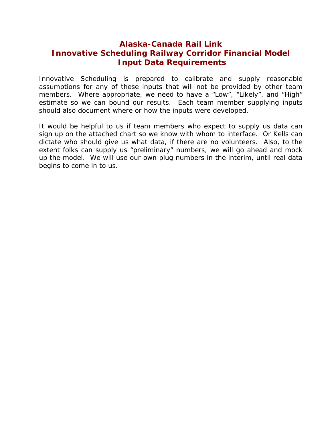## **Alaska-Canada Rail Link Innovative Scheduling Railway Corridor Financial Model Input Data Requirements**

Innovative Scheduling is prepared to calibrate and supply reasonable assumptions for any of these inputs that will not be provided by other team members. Where appropriate, we need to have a "Low", "Likely", and "High" estimate so we can bound our results. Each team member supplying inputs should also document where or how the inputs were developed.

It would be helpful to us if team members who expect to supply us data can sign up on the attached chart so we know with whom to interface. Or Kells can dictate who should give us what data, if there are no volunteers. Also, to the extent folks can supply us "preliminary" numbers, we will go ahead and mock up the model. We will use our own plug numbers in the interim, until real data begins to come in to us.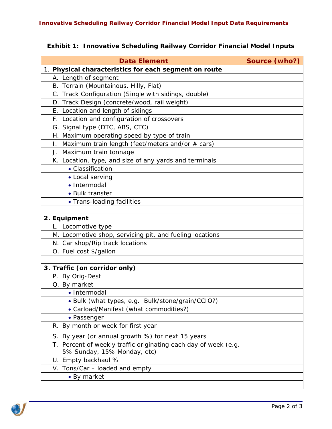| <b>Exhibit 1: Innovative Scheduling Railway Corridor Financial Model Inputs</b> |  |
|---------------------------------------------------------------------------------|--|
|---------------------------------------------------------------------------------|--|

| <b>Data Element</b>                                             | Source (who?) |
|-----------------------------------------------------------------|---------------|
| 1. Physical characteristics for each segment on route           |               |
| A. Length of segment                                            |               |
| B. Terrain (Mountainous, Hilly, Flat)                           |               |
| C. Track Configuration (Single with sidings, double)            |               |
| D. Track Design (concrete/wood, rail weight)                    |               |
| E. Location and length of sidings                               |               |
| F. Location and configuration of crossovers                     |               |
| G. Signal type (DTC, ABS, CTC)                                  |               |
| H. Maximum operating speed by type of train                     |               |
| Maximum train length (feet/meters and/or # cars)<br>Ι.          |               |
| J. Maximum train tonnage                                        |               |
| K. Location, type, and size of any yards and terminals          |               |
| • Classification                                                |               |
| • Local serving                                                 |               |
| • Intermodal                                                    |               |
| • Bulk transfer                                                 |               |
| • Trans-loading facilities                                      |               |
|                                                                 |               |
| 2. Equipment                                                    |               |
| L. Locomotive type                                              |               |
| M. Locomotive shop, servicing pit, and fueling locations        |               |
| N. Car shop/Rip track locations                                 |               |
| O. Fuel cost \$/gallon                                          |               |
|                                                                 |               |
| 3. Traffic (on corridor only)                                   |               |
| P. By Orig-Dest                                                 |               |
| Q. By market                                                    |               |
| · Intermodal                                                    |               |
| · Bulk (what types, e.g. Bulk/stone/grain/CCIO?)                |               |
| • Carload/Manifest (what commodities?)                          |               |
| • Passenger                                                     |               |
| R. By month or week for first year                              |               |
| S. By year (or annual growth %) for next 15 years               |               |
| T. Percent of weekly traffic originating each day of week (e.g. |               |
| 5% Sunday, 15% Monday, etc)                                     |               |
| U. Empty backhaul %                                             |               |
| V. Tons/Car - loaded and empty                                  |               |
| • By market                                                     |               |
|                                                                 |               |